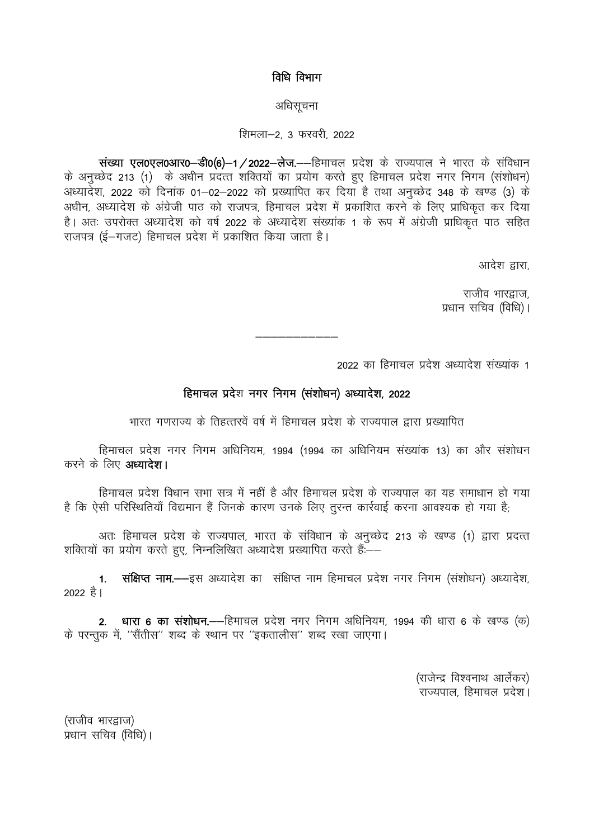## विधि विभाग

#### अधिसूचना

### शिमला-2, 3 फरवरी, 2022

संख्या एल0एल0आर0-डी0(6)-1/2022-लेज.--हिमाचल प्रदेश के राज्यपाल ने भारत के संविधान के अनुच्छेद 213 (1) के अधीन प्रदत्त शक्तियों का प्रयोग करते हुए हिमाचल प्रदेश नगर निगम (संशोधन) अध्यादेश, 2022 को दिनांक 01-02-2022 को प्रख्यापित कर दिया है तथा अनुच्छेद 348 के खण्ड (3) के अधीन, अध्यादेश के अंग्रेजी पाठ को राजपत्र, हिमाचल प्रदेश में प्रकाशित करने के लिए प्राधिकृत कर दिया है। अतः उपरोक्त अध्यादेश को वर्ष 2022 के अध्यादेश संख्यांक 1 के रूप में अंग्रेजी प्राधिकृत पाठ सहित राजपत्र (ई–गजट) हिमाचल प्रदेश में प्रकाशित किया जाता है।

आदेश द्वारा

राजीव भारद्राज. प्रधान सचिव (विधि)।

2022 का हिमाचल प्रदेश अध्यादेश संख्यांक 1

# हिमाचल प्रदेश नगर निगम (संशोधन) अध्यादेश, 2022

भारत गणराज्य के तिहत्तरवें वर्ष में हिमाचल प्रदेश के राज्यपाल द्वारा प्रख्यापित

हिमाचल प्रदेश नगर निगम अधिनियम, 1994 (1994 का अधिनियम संख्यांक 13) का और संशोधन करने के लिए अध्यादेश।

हिमाचल प्रदेश विधान सभा सत्र में नहीं है और हिमाचल प्रदेश के राज्यपाल का यह समाधान हो गया है कि ऐसी परिस्थितियाँ विद्यमान हैं जिनके कारण उनके लिए तरन्त कार्रवाई करना आवश्यक हो गया है:

अतः हिमाचल प्रदेश के राज्यपाल, भारत के संविधान के अनुच्छेद 213 के खण्ड (1) द्वारा प्रदत्त शक्तियों का प्रयोग करते हुए, निम्नलिखित अध्यादेश प्रख्यापित करते हैं:--

संक्षिप्त नाम.---इस अध्यादेश का संक्षिप्त नाम हिमाचल प्रदेश नगर निगम (संशोधन) अध्यादेश,  $\mathbf{1}$ . 2022 है।

2. धारा 6 का संशोधन.--हिमाचल प्रदेश नगर निगम अधिनियम, 1994 की धारा 6 के खण्ड (क) के परन्तुक में, "सैंतीस" शब्द के स्थान पर "इकतालीस" शब्द रखा जाएगा।

> (राजेन्द्र विश्वनाथ आर्लेकर) राज्यपाल, हिमाचल प्रदेश।

(राजीव भारद्वाज) प्रधान सचिव (विधि)।